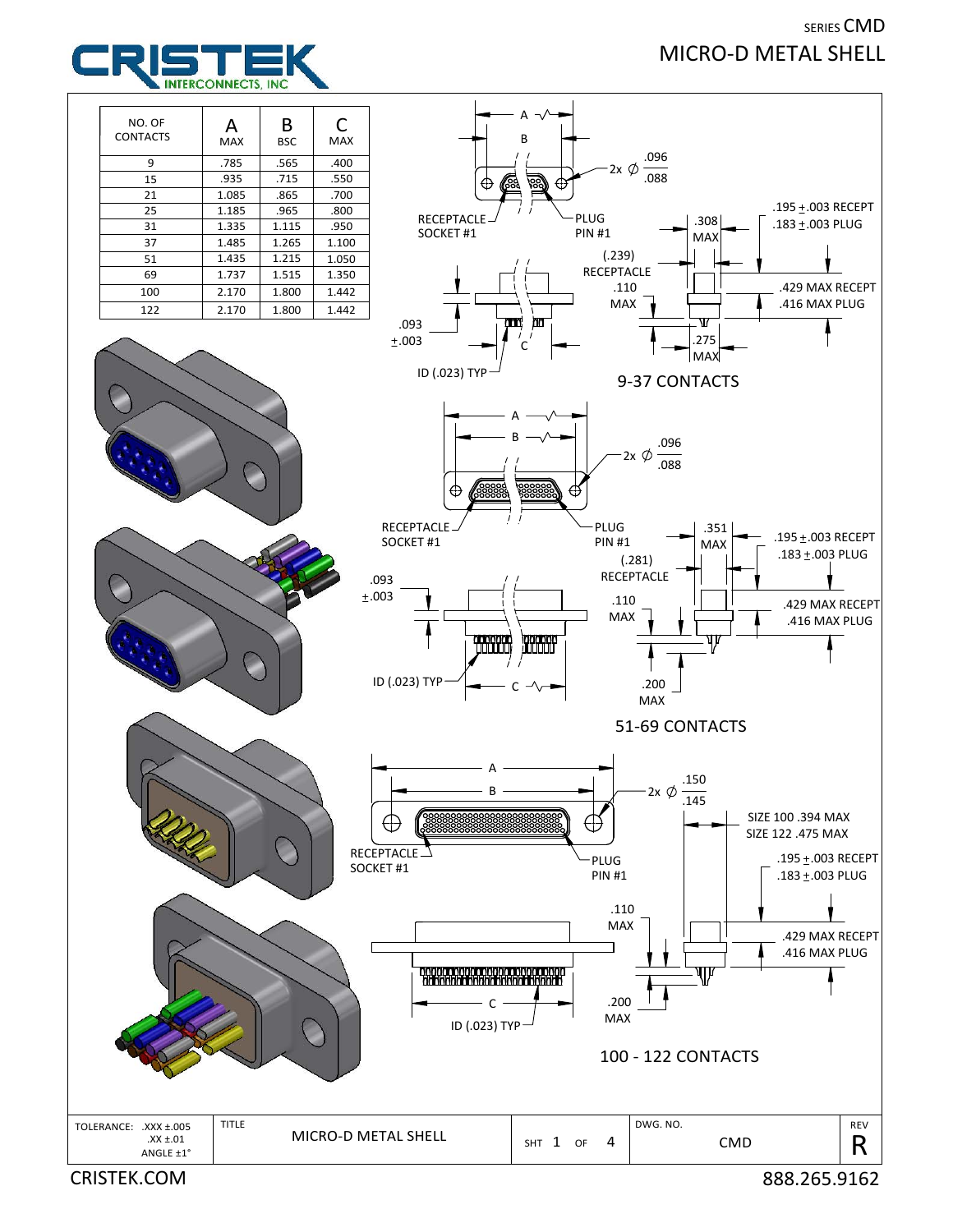## SERIES CMD MICRO‐D METAL SHELL



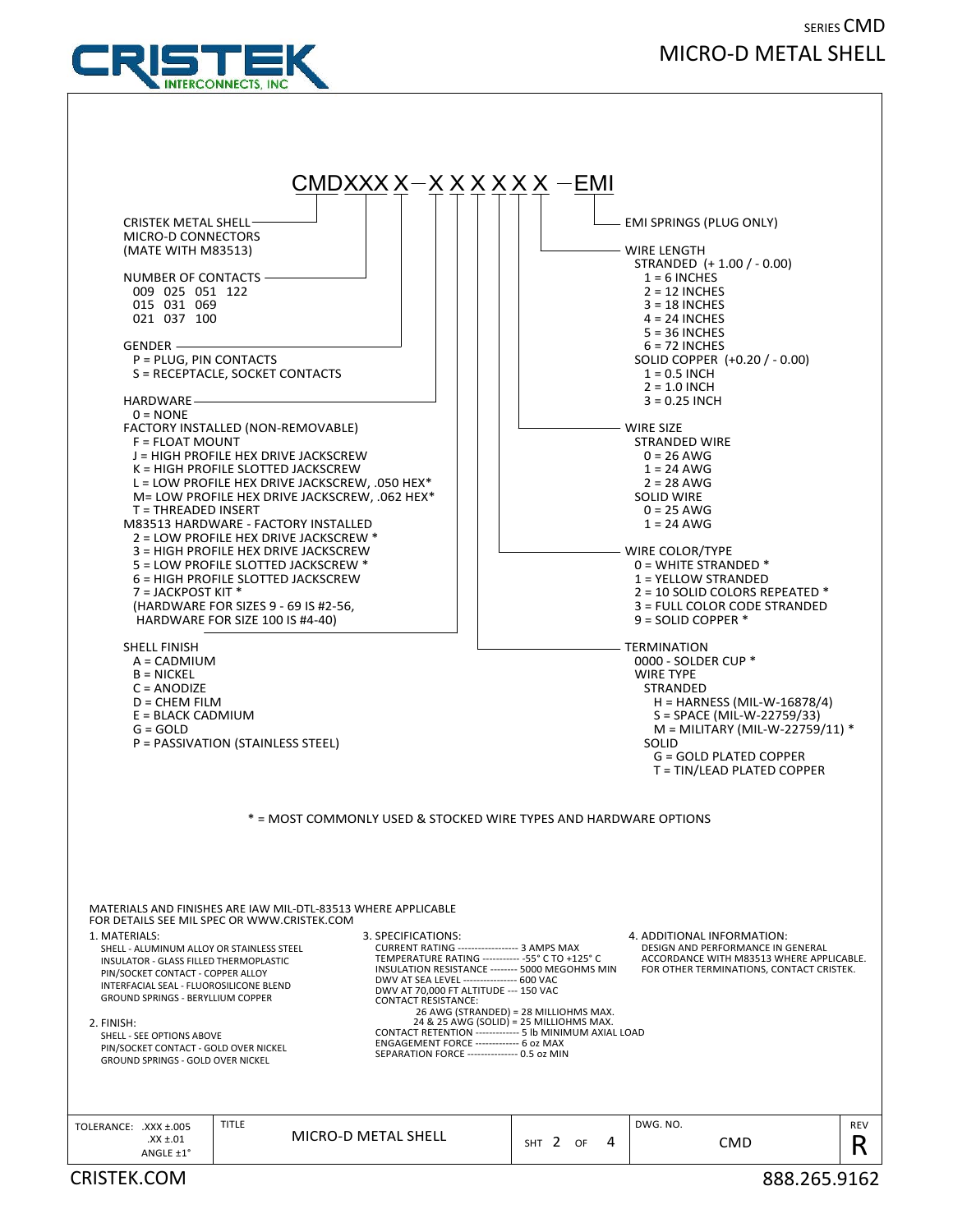## SERIES CMD MICRO‐D METAL SHELL



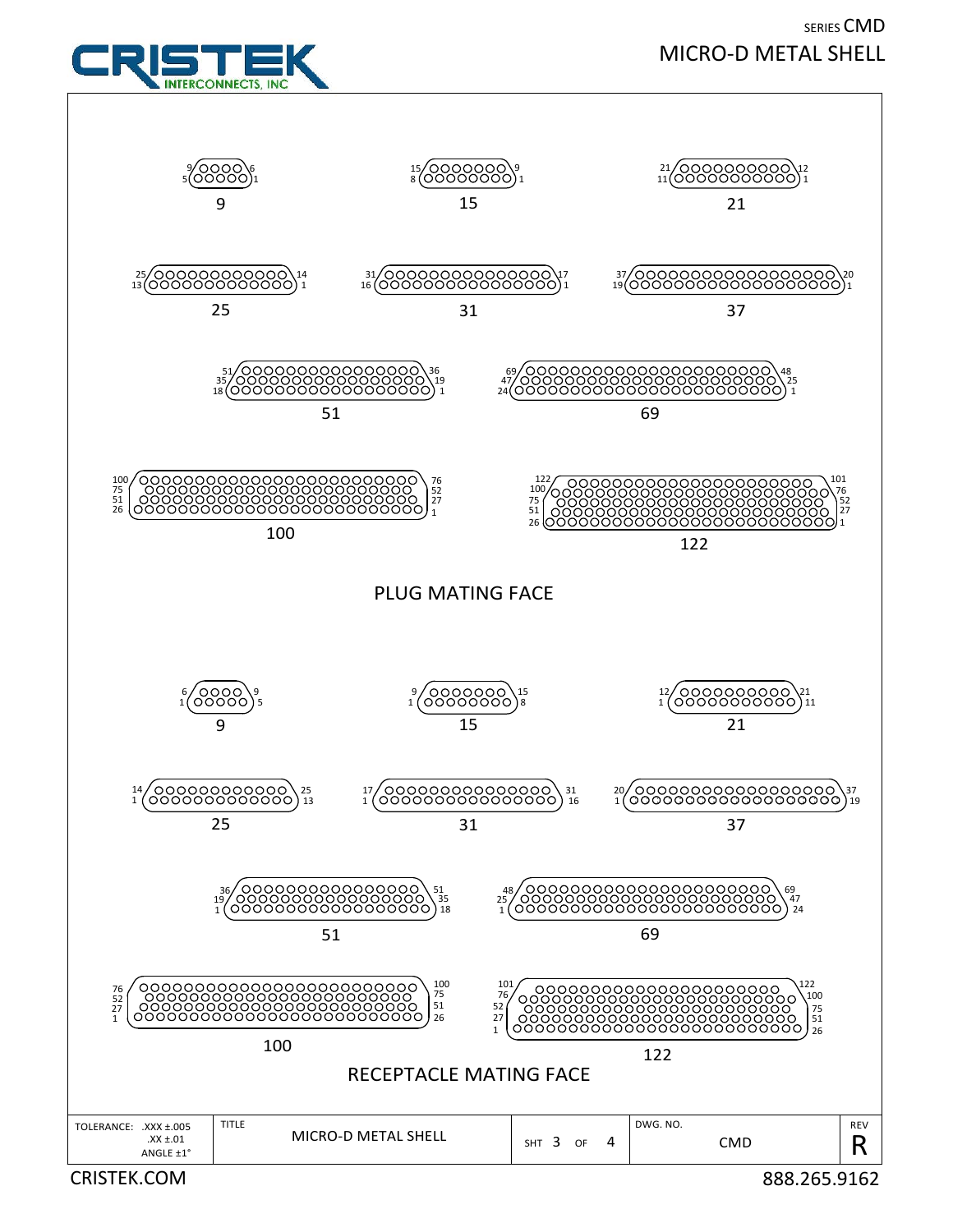

SERIES CMD MICRO‐D METAL SHELL